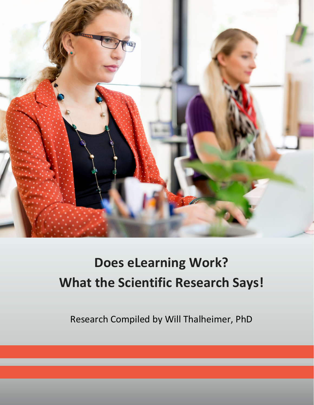

# **Does eLearning Work? What the Scientific Research Says!**

Research Compiled by Will Thalheimer, PhD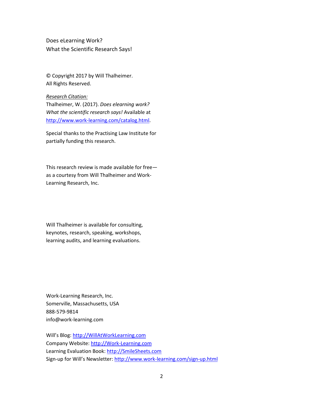Does eLearning Work? What the Scientific Research Says!

© Copyright 2017 by Will Thalheimer. All Rights Reserved.

#### *Research Citation:*

Thalheimer, W. (2017). *Does elearning work? What the scientific research says!* Available at [http://www.work-learning.com/catalog.html.](http://www.work-learning.com/catalog.html)

Special thanks to the Practising Law Institute for partially funding this research.

This research review is made available for free as a courtesy from Will Thalheimer and Work-Learning Research, Inc.

Will Thalheimer is available for consulting, keynotes, research, speaking, workshops, learning audits, and learning evaluations.

Work-Learning Research, Inc. Somerville, Massachusetts, USA 888-579-9814 info@work-learning.com

Will's Blog: [http://WillAtWorkLearning.com](http://willatworklearning.com/) Company Website: [http://Work-Learning.com](http://work-learning.com/) Learning Evaluation Book: [http://SmileSheets.com](http://smilesheets.com/) Sign-up for Will's Newsletter:<http://www.work-learning.com/sign-up.html>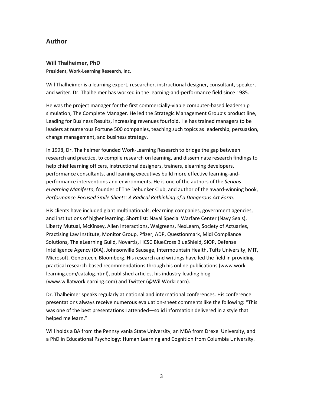### **Author**

#### **Will Thalheimer, PhD President, Work-Learning Research, Inc.**

Will Thalheimer is a learning expert, researcher, instructional designer, consultant, speaker, and writer. Dr. Thalheimer has worked in the learning-and-performance field since 1985.

He was the project manager for the first commercially-viable computer-based leadership simulation, The Complete Manager. He led the Strategic Management Group's product line, Leading for Business Results, increasing revenues fourfold. He has trained managers to be leaders at numerous Fortune 500 companies, teaching such topics as leadership, persuasion, change management, and business strategy.

In 1998, Dr. Thalheimer founded Work-Learning Research to bridge the gap between research and practice, to compile research on learning, and disseminate research findings to help chief learning officers, instructional designers, trainers, elearning developers, performance consultants, and learning executives build more effective learning-andperformance interventions and environments. He is one of the authors of the *Serious eLearning Manifesto*, founder of The Debunker Club, and author of the award-winning book, *Performance-Focused Smile Sheets: A Radical Rethinking of a Dangerous Art Form*.

His clients have included giant multinationals, elearning companies, government agencies, and institutions of higher learning. Short list: Naval Special Warfare Center (Navy Seals), Liberty Mutual, McKinsey, Allen Interactions, Walgreens, NexLearn, Society of Actuaries, Practising Law Institute, Monitor Group, Pfizer, ADP, Questionmark, Midi Compliance Solutions, The eLearning Guild, Novartis, HCSC BlueCross BlueShield, SIOP, Defense Intelligence Agency (DIA), Johnsonville Sausage, Intermountain Health, Tufts University, MIT, Microsoft, Genentech, Bloomberg. His research and writings have led the field in providing practical research-based recommendations through his online publications (www.worklearning.com/catalog.html), published articles, his industry-leading blog (www.willatworklearning.com) and Twitter (@WillWorkLearn).

Dr. Thalheimer speaks regularly at national and international conferences. His conference presentations always receive numerous evaluation-sheet comments like the following: "This was one of the best presentations I attended—solid information delivered in a style that helped me learn."

Will holds a BA from the Pennsylvania State University, an MBA from Drexel University, and a PhD in Educational Psychology: Human Learning and Cognition from Columbia University.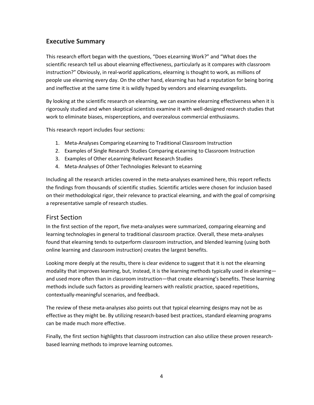### **Executive Summary**

This research effort began with the questions, "Does eLearning Work?" and "What does the scientific research tell us about elearning effectiveness, particularly as it compares with classroom instruction?" Obviously, in real-world applications, elearning is thought to work, as millions of people use elearning every day. On the other hand, elearning has had a reputation for being boring and ineffective at the same time it is wildly hyped by vendors and elearning evangelists.

By looking at the scientific research on elearning, we can examine elearning effectiveness when it is rigorously studied and when skeptical scientists examine it with well-designed research studies that work to eliminate biases, misperceptions, and overzealous commercial enthusiasms.

This research report includes four sections:

- 1. Meta-Analyses Comparing eLearning to Traditional Classroom Instruction
- 2. Examples of Single Research Studies Comparing eLearning to Classroom Instruction
- 3. Examples of Other eLearning-Relevant Research Studies
- 4. Meta-Analyses of Other Technologies Relevant to eLearning

Including all the research articles covered in the meta-analyses examined here, this report reflects the findings from thousands of scientific studies. Scientific articles were chosen for inclusion based on their methodological rigor, their relevance to practical elearning, and with the goal of comprising a representative sample of research studies.

### First Section

In the first section of the report, five meta-analyses were summarized, comparing elearning and learning technologies in general to traditional classroom practice. Overall, these meta-analyses found that elearning tends to outperform classroom instruction, and blended learning (using both online learning and classroom instruction) creates the largest benefits.

Looking more deeply at the results, there is clear evidence to suggest that it is not the elearning modality that improves learning, but, instead, it is the learning methods typically used in elearning and used more often than in classroom instruction—that create elearning's benefits. These learning methods include such factors as providing learners with realistic practice, spaced repetitions, contextually-meaningful scenarios, and feedback.

The review of these meta-analyses also points out that typical elearning designs may not be as effective as they might be. By utilizing research-based best practices, standard elearning programs can be made much more effective.

Finally, the first section highlights that classroom instruction can also utilize these proven researchbased learning methods to improve learning outcomes.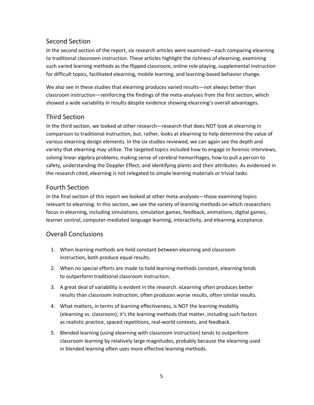### Second Section

In the second section of the report, six research articles were examined—each comparing elearning to traditional classroom instruction. These articles highlight the richness of elearning, examining such varied learning methods as the flipped classroom, online role playing, supplemental instruction for difficult topics, facilitated elearning, mobile learning, and learning-based behavior change.

We also see in these studies that elearning produces varied results—not always better than classroom instruction—reinforcing the findings of the meta-analyses from the first section, which showed a wide variability in results despite evidence showing elearning's overall advantages.

### Third Section

In the third section, we looked at other research—research that does NOT look at elearning in comparison to traditional instruction, but, rather, looks at elearning to help determine the value of various elearning design elements. In the six studies reviewed, we can again see the depth and variety that elearning may utilize. The targeted topics included how to engage in forensic interviews, solving linear algebra problems, making sense of cerebral hemorrhages, how to pull a person to safety, understanding the Doppler Effect, and identifying plants and their attributes. As evidenced in the research cited, elearning is not relegated to simple learning materials or trivial tasks.

### Fourth Section

In the final section of this report we looked at other meta-analyses—those examining topics relevant to elearning. In this section, we see the variety of learning methods on which researchers focus in elearning, including simulations, simulation games, feedback, animations, digital games, learner control, computer-mediated language learning, interactivity, and elearning acceptance.

### Overall Conclusions

- 1. When learning methods are held constant between elearning and classroom instruction, both produce equal results.
- 2. When no special efforts are made to hold learning methods constant, elearning tends to outperform traditional classroom instruction.
- 3. A great deal of variability is evident in the research. eLearning often produces better results than classroom instruction, often produces worse results, often similar results.
- 4. What matters, in terms of learning effectiveness, is NOT the learning modality (elearning vs. classroom); it's the learning methods that matter, including such factors as realistic practice, spaced repetitions, real-world contexts, and feedback.
- 5. Blended learning (using elearning with classroom instruction) tends to outperform classroom learning by relatively large magnitudes, probably because the elearning used in blended learning often uses more effective learning methods.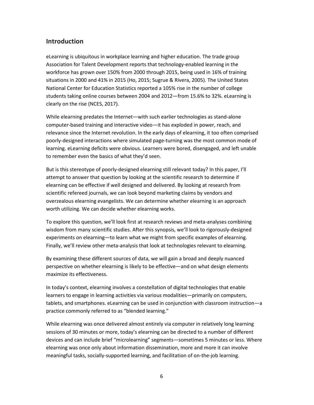### **Introduction**

eLearning is ubiquitous in workplace learning and higher education. The trade group Association for Talent Development reports that technology-enabled learning in the workforce has grown over 150% from 2000 through 2015, being used in 16% of training situations in 2000 and 41% in 2015 (Ho, 2015; Sugrue & Rivera, 2005). The United States National Center for Education Statistics reported a 105% rise in the number of college students taking online courses between 2004 and 2012—from 15.6% to 32%. eLearning is clearly on the rise (NCES, 2017).

While elearning predates the Internet—with such earlier technologies as stand-alone computer-based training and interactive video—it has exploded in power, reach, and relevance since the Internet revolution. In the early days of elearning, it too often comprised poorly-designed interactions where simulated page-turning was the most common mode of learning. eLearning deficits were obvious. Learners were bored, disengaged, and left unable to remember even the basics of what they'd seen.

But is this stereotype of poorly-designed elearning still relevant today? In this paper, I'll attempt to answer that question by looking at the scientific research to determine if elearning can be effective if well designed and delivered. By looking at research from scientific refereed journals, we can look beyond marketing claims by vendors and overzealous elearning evangelists. We can determine whether elearning is an approach worth utilizing. We can decide whether elearning works.

To explore this question, we'll look first at research reviews and meta-analyses combining wisdom from many scientific studies. After this synopsis, we'll look to rigorously-designed experiments on elearning—to learn what we might from specific examples of elearning. Finally, we'll review other meta-analysis that look at technologies relevant to elearning.

By examining these different sources of data, we will gain a broad and deeply nuanced perspective on whether elearning is likely to be effective—and on what design elements maximize its effectiveness.

In today's context, elearning involves a constellation of digital technologies that enable learners to engage in learning activities via various modalities—primarily on computers, tablets, and smartphones. eLearning can be used in conjunction with classroom instruction—a practice commonly referred to as "blended learning."

While elearning was once delivered almost entirely via computer in relatively long learning sessions of 30 minutes or more, today's elearning can be directed to a number of different devices and can include brief "microlearning" segments—sometimes 5 minutes or less. Where elearning was once only about information dissemination, more and more it can involve meaningful tasks, socially-supported learning, and facilitation of on-the-job learning.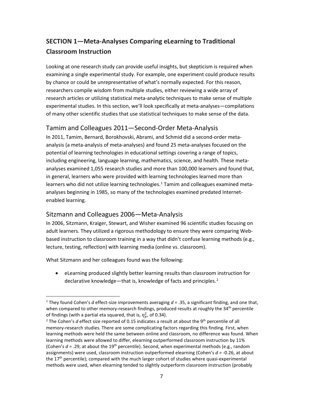# **SECTION 1—Meta-Analyses Comparing eLearning to Traditional Classroom Instruction**

Looking at one research study can provide useful insights, but skepticism is required when examining a single experimental study. For example, one experiment could produce results by chance or could be unrepresentative of what's normally expected. For this reason, researchers compile wisdom from multiple studies, either reviewing a wide array of research articles or utilizing statistical meta-analytic techniques to make sense of multiple experimental studies. In this section, we'll look specifically at meta-analyses—compilations of many other scientific studies that use statistical techniques to make sense of the data.

### Tamim and Colleagues 2011—Second-Order Meta-Analysis

In 2011, Tamim, Bernard, Borokhovski, Abrami, and Schmid did a second-order metaanalysis (a meta-analysis of meta-analyses) and found 25 meta-analyses focused on the potential of learning technologies in educational settings covering a range of topics, including engineering, language learning, mathematics, science, and health. These metaanalyses examined 1,055 research studies and more than 100,000 learners and found that, in general, learners who were provided with learning technologies learned more than learners who did not utilize learning technologies. $1$  Tamim and colleagues examined metaanalyses beginning in 1985, so many of the technologies examined predated Internetenabled learning.

### Sitzmann and Colleagues 2006—Meta-Analysis

In 2006, Sitzmann, Kraiger, Stewart, and Wisher examined 96 scientific studies focusing on adult learners. They utilized a rigorous methodology to ensure they were comparing Webbased instruction to classroom training in a way that didn't confuse learning methods (e.g., lecture, testing, reflection) with learning media (online vs. classroom).

What Sitzmann and her colleagues found was the following:

• eLearning produced slightly better learning results than classroom instruction for declarative knowledge—that is, knowledge of facts and principles.<sup>[2](#page-6-1)</sup>

<span id="page-6-0"></span> <sup>1</sup> They found Cohen's *<sup>d</sup>* effect-size improvements averaging *d =* .35, a significant finding, and one that, when compared to other memory-research findings, produced results at roughly the 34<sup>th</sup> percentile of findings (with a partial eta squared, that is,  $\eta_p^2$ , of 0.34).

<span id="page-6-1"></span><sup>&</sup>lt;sup>2</sup> The Cohen's *d* effect size reported of 0.15 indicates a result at about the 9<sup>th</sup> percentile of all memory-research studies. There are some complicating factors regarding this finding. First, when learning methods were held the same between online and classroom, no difference was found. When learning methods were allowed to differ, elearning outperformed classroom instruction by 11% (Cohen's  $d = 0.29$ , at about the 19<sup>th</sup> percentile). Second, when experimental methods (e.g., random assignments) were used, classroom instruction outperformed elearning (Cohen's *d =* -0.26, at about the 17<sup>th</sup> percentile); compared with the much larger cohort of studies where quasi-experimental methods were used, when elearning tended to slightly outperform classroom instruction (probably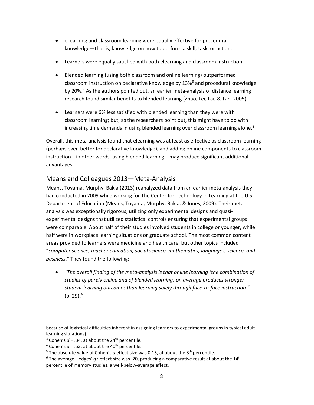- eLearning and classroom learning were equally effective for procedural knowledge—that is, knowledge on how to perform a skill, task, or action.
- Learners were equally satisfied with both elearning and classroom instruction.
- Blended learning (using both classroom and online learning) outperformed classroom instruction on declarative knowledge by 13%[3](#page-7-0) and procedural knowledge by 20%.[4](#page-7-1) As the authors pointed out, an earlier meta-analysis of distance learning research found similar benefits to blended learning (Zhao, Lei, Lai, & Tan, 2005).
- Learners were 6% less satisfied with blended learning than they were with classroom learning; but, as the researchers point out, this might have to do with increasing time demands in using blended learning over classroom learning alone.<sup>[5](#page-7-2)</sup>

Overall, this meta-analysis found that elearning was at least as effective as classroom learning (perhaps even better for declarative knowledge), and adding online components to classroom instruction—in other words, using blended learning—may produce significant additional advantages.

### Means and Colleagues 2013—Meta-Analysis

Means, Toyama, Murphy, Bakia (2013) reanalyzed data from an earlier meta-analysis they had conducted in 2009 while working for The Center for Technology in Learning at the U.S. Department of Education (Means, Toyama, Murphy, Bakia, & Jones, 2009). Their metaanalysis was exceptionally rigorous, utilizing only experimental designs and quasiexperimental designs that utilized statistical controls ensuring that experimental groups were comparable. About half of their studies involved students in college or younger, while half were in workplace learning situations or graduate school. The most common content areas provided to learners were medicine and health care, but other topics included "*computer science, teacher education, social science, mathematics, languages, science, and business*." They found the following:

• *"The overall finding of the meta-analysis is that online learning (the combination of studies of purely online and of blended learning) on average produces stronger student learning outcomes than learning solely through face-to-face instruction."*  $(p. 29).<sup>6</sup>$  $(p. 29).<sup>6</sup>$  $(p. 29).<sup>6</sup>$ 

l

because of logistical difficulties inherent in assigning learners to experimental groups in typical adultlearning situations).

<span id="page-7-0"></span><sup>&</sup>lt;sup>3</sup> Cohen's  $d = 0.34$ , at about the 24<sup>th</sup> percentile.

<span id="page-7-1"></span> $4$  Cohen's  $d = .52$ , at about the  $40<sup>th</sup>$  percentile.

<span id="page-7-2"></span><sup>&</sup>lt;sup>5</sup> The absolute value of Cohen's *d* effect size was 0.15, at about the 8<sup>th</sup> percentile.

<span id="page-7-3"></span><sup>&</sup>lt;sup>6</sup> The average Hedges'  $q+$  effect size was .20, producing a comparative result at about the 14<sup>th</sup> percentile of memory studies, a well-below-average effect.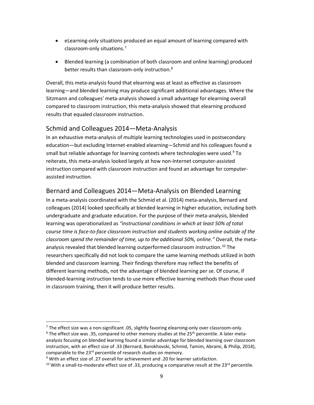- eLearning-only situations produced an equal amount of learning compared with classroom-only situations.[7](#page-8-0)
- Blended learning (a combination of both classroom and online learning) produced better results than classroom-only instruction.<sup>[8](#page-8-1)</sup>

Overall, this meta-analysis found that elearning was at least as effective as classroom learning—and blended learning may produce significant additional advantages. Where the Sitzmann and colleagues' meta-analysis showed a small advantage for elearning overall compared to classroom instruction, this meta-analysis showed that elearning produced results that equaled classroom instruction.

### Schmid and Colleagues 2014—Meta-Analysis

In an exhaustive meta-analysis of multiple learning technologies used in postsecondary education—but excluding Internet-enabled elearning—Schmid and his colleagues found a small but reliable advantage for learning contexts where technologies were used.<sup>[9](#page-8-2)</sup> To reiterate, this meta-analysis looked largely at how non-Internet computer-assisted instruction compared with classroom instruction and found an advantage for computerassisted instruction.

### Bernard and Colleagues 2014—Meta-Analysis on Blended Learning

In a meta-analysis coordinated with the Schmid et al. (2014) meta-analysis, Bernard and colleagues (2014) looked specifically at blended learning in higher education, including both undergraduate and graduate education. For the purpose of their meta-analysis, blended learning was operationalized as *"instructional conditions in which at least 50% of total course time is face-to-face classroom instruction and students working online outside of the classroom spend the remainder of time, up to the additional 50%, online."* Overall, the meta-analysis revealed that blended learning outperformed classroom instruction.<sup>[10](#page-8-3)</sup> The researchers specifically did not look to compare the same learning methods utilized in both blended and classroom learning. Their findings therefore may reflect the benefits of different learning methods, not the advantage of blended learning per se. Of course, if blended-learning instruction tends to use more effective learning methods than those used in classroom training, then it will produce better results.

<span id="page-8-0"></span> $7$  The effect size was a non-significant .05, slightly favoring elearning-only over classroom-only.

<span id="page-8-1"></span> $8$  The effect size was .35, compared to other memory studies at the 25<sup>th</sup> percentile. A later metaanalysis focusing on blended learning found a similar advantage for blended learning over classroom instruction, with an effect size of .33 (Bernard, Borokhovski, Schmid, Tamim, Abrami, & Philip, 2014), comparable to the 23<sup>rd</sup> percentile of research studies on memory.

<span id="page-8-2"></span><sup>9</sup> With an effect size of .27 overall for achievement and .20 for learner satisfaction.

<span id="page-8-3"></span><sup>&</sup>lt;sup>10</sup> With a small-to-moderate effect size of .33, producing a comparative result at the 23<sup>rd</sup> percentile.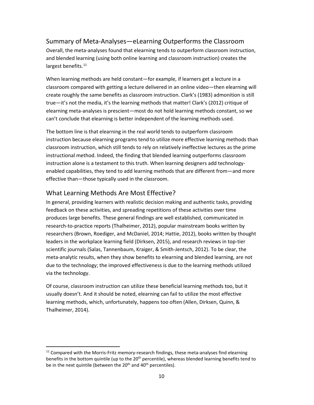### Summary of Meta-Analyses—eLearning Outperforms the Classroom

Overall, the meta-analyses found that elearning tends to outperform classroom instruction, and blended learning (using both online learning and classroom instruction) creates the largest benefits.<sup>11</sup>

When learning methods are held constant—for example, if learners get a lecture in a classroom compared with getting a lecture delivered in an online video—then elearning will create roughly the same benefits as classroom instruction. Clark's (1983) admonition is still true—it's not the media, it's the learning methods that matter! Clark's (2012) critique of elearning meta-analyses is prescient—most do not hold learning methods constant, so we can't conclude that elearning is better independent of the learning methods used.

The bottom line is that elearning in the real world tends to outperform classroom instruction because elearning programs tend to utilize more effective learning methods than classroom instruction, which still tends to rely on relatively ineffective lectures as the prime instructional method. Indeed, the finding that blended learning outperforms classroom instruction alone is a testament to this truth. When learning designers add technologyenabled capabilities, they tend to add learning methods that are different from—and more effective than—those typically used in the classroom.

### What Learning Methods Are Most Effective?

In general, providing learners with realistic decision making and authentic tasks, providing feedback on these activities, and spreading repetitions of these activities over time produces large benefits. These general findings are well established, communicated in research-to-practice reports (Thalheimer, 2012), popular mainstream books written by researchers (Brown, Roediger, and McDaniel, 2014; Hattie, 2012), books written by thought leaders in the workplace learning field (Dirksen, 2015), and research reviews in top-tier scientific journals (Salas, Tannenbaum, Kraiger, & Smith-Jentsch, 2012). To be clear, the meta-analytic results, when they show benefits to elearning and blended learning, are not due to the technology; the improved effectiveness is due to the learning methods utilized via the technology.

Of course, classroom instruction can utilize these beneficial learning methods too, but it usually doesn't. And it should be noted, elearning can fail to utilize the most effective learning methods, which, unfortunately, happens too often (Allen, Dirksen, Quinn, & Thalheimer, 2014).

<span id="page-9-0"></span> $11$  Compared with the Morris-Fritz memory-research findings, these meta-analyses find elearning benefits in the bottom quintile (up to the 20<sup>th</sup> percentile), whereas blended learning benefits tend to be in the next quintile (between the 20<sup>th</sup> and 40<sup>th</sup> percentiles).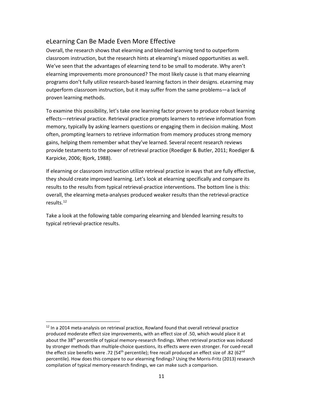### eLearning Can Be Made Even More Effective

Overall, the research shows that elearning and blended learning tend to outperform classroom instruction, but the research hints at elearning's missed opportunities as well. We've seen that the advantages of elearning tend to be small to moderate. Why aren't elearning improvements more pronounced? The most likely cause is that many elearning programs don't fully utilize research-based learning factors in their designs. eLearning may outperform classroom instruction, but it may suffer from the same problems—a lack of proven learning methods.

To examine this possibility, let's take one learning factor proven to produce robust learning effects—retrieval practice. Retrieval practice prompts learners to retrieve information from memory, typically by asking learners questions or engaging them in decision making. Most often, prompting learners to retrieve information from memory produces strong memory gains, helping them remember what they've learned. Several recent research reviews provide testaments to the power of retrieval practice (Roediger & Butler, 2011; Roediger & Karpicke, 2006; Bjork, 1988).

If elearning or classroom instruction utilize retrieval practice in ways that are fully effective, they should create improved learning. Let's look at elearning specifically and compare its results to the results from typical retrieval-practice interventions. The bottom line is this: overall, the elearning meta-analyses produced weaker results than the retrieval-practice results.<sup>[12](#page-10-0)</sup>

Take a look at the following table comparing elearning and blended learning results to typical retrieval-practice results.

<span id="page-10-0"></span> $12$  In a 2014 meta-analysis on retrieval practice, Rowland found that overall retrieval practice produced moderate effect size improvements, with an effect size of .50, which would place it at about the 38<sup>th</sup> percentile of typical memory-research findings. When retrieval practice was induced by stronger methods than multiple-choice questions, its effects were even stronger. For cued-recall the effect size benefits were .72 (54<sup>th</sup> percentile); free recall produced an effect size of .82 (62<sup>nd</sup> percentile). How does this compare to our elearning findings? Using the Morris-Fritz (2013) research compilation of typical memory-research findings, we can make such a comparison.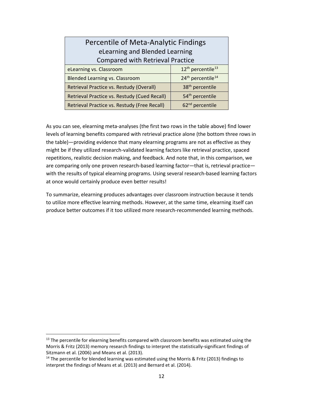| Percentile of Meta-Analytic Findings         |                                           |
|----------------------------------------------|-------------------------------------------|
| eLearning and Blended Learning               |                                           |
| <b>Compared with Retrieval Practice</b>      |                                           |
| eLearning vs. Classroom                      | 12 <sup>th</sup> percentile <sup>13</sup> |
| <b>Blended Learning vs. Classroom</b>        | 24 <sup>th</sup> percentile <sup>14</sup> |
| Retrieval Practice vs. Restudy (Overall)     | 38 <sup>th</sup> percentile               |
| Retrieval Practice vs. Restudy (Cued Recall) | 54 <sup>th</sup> percentile               |
| Retrieval Practice vs. Restudy (Free Recall) | 62 <sup>nd</sup> percentile               |

As you can see, elearning meta-analyses (the first two rows in the table above) find lower levels of learning benefits compared with retrieval practice alone (the bottom three rows in the table)—providing evidence that many elearning programs are not as effective as they might be if they utilized research-validated learning factors like retrieval practice, spaced repetitions, realistic decision making, and feedback. And note that, in this comparison, we are comparing only one proven research-based learning factor—that is, retrieval practice with the results of typical elearning programs. Using several research-based learning factors at once would certainly produce even better results!

To summarize, elearning produces advantages over classroom instruction because it tends to utilize more effective learning methods. However, at the same time, elearning itself can produce better outcomes if it too utilized more research-recommended learning methods.

<span id="page-11-0"></span> $13$  The percentile for elearning benefits compared with classroom benefits was estimated using the Morris & Fritz (2013) memory research findings to interpret the statistically-significant findings of Sitzmann et al. (2006) and Means et al. (2013).

<span id="page-11-1"></span> $14$  The percentile for blended learning was estimated using the Morris & Fritz (2013) findings to interpret the findings of Means et al. (2013) and Bernard et al. (2014).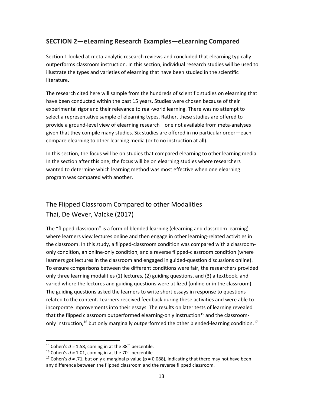### **SECTION 2—eLearning Research Examples—eLearning Compared**

Section 1 looked at meta-analytic research reviews and concluded that elearning typically outperforms classroom instruction. In this section, individual research studies will be used to illustrate the types and varieties of elearning that have been studied in the scientific literature.

The research cited here will sample from the hundreds of scientific studies on elearning that have been conducted within the past 15 years. Studies were chosen because of their experimental rigor and their relevance to real-world learning. There was no attempt to select a representative sample of elearning types. Rather, these studies are offered to provide a ground-level view of elearning research—one not available from meta-analyses given that they compile many studies. Six studies are offered in no particular order—each compare elearning to other learning media (or to no instruction at all).

In this section, the focus will be on studies that compared elearning to other learning media. In the section after this one, the focus will be on elearning studies where researchers wanted to determine which learning method was most effective when one elearning program was compared with another.

# The Flipped Classroom Compared to other Modalities Thai, De Wever, Valcke (2017)

The "flipped classroom" is a form of blended learning (elearning and classroom learning) where learners view lectures online and then engage in other learning-related activities in the classroom. In this study, a flipped-classroom condition was compared with a classroomonly condition, an online-only condition, and a reverse flipped-classroom condition (where learners got lectures in the classroom and engaged in guided-question discussions online). To ensure comparisons between the different conditions were fair, the researchers provided only three learning modalities (1) lectures, (2) guiding questions, and (3) a textbook, and varied where the lectures and guiding questions were utilized (online or in the classroom). The guiding questions asked the learners to write short essays in response to questions related to the content. Learners received feedback during these activities and were able to incorporate improvements into their essays. The results on later tests of learning revealed that the flipped classroom outperformed elearning-only instruction<sup>[15](#page-12-0)</sup> and the classroom-only instruction,<sup>[16](#page-12-1)</sup> but only marginally outperformed the other blended-learning condition.<sup>17</sup>

<span id="page-12-0"></span><sup>&</sup>lt;sup>15</sup> Cohen's  $d = 1.58$ , coming in at the 88<sup>th</sup> percentile.

<span id="page-12-1"></span><sup>&</sup>lt;sup>16</sup> Cohen's  $d = 1.01$ , coming in at the 70<sup>th</sup> percentile.

<span id="page-12-2"></span><sup>&</sup>lt;sup>17</sup> Cohen's  $d = 0.71$ , but only a marginal p-value ( $p = 0.088$ ), indicating that there may not have been any difference between the flipped classroom and the reverse flipped classroom.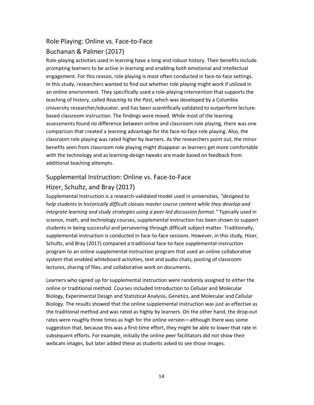# Role Playing: Online vs. Face-to-Face Buchanan & Palmer (2017)

Role-playing activities used in learning have a long and robust history. Their benefits include prompting learners to be active in learning and enabling both emotional and intellectual engagement. For this reason, role playing is most often conducted in face-to-face settings. In this study, researchers wanted to find out whether role playing might work if utilized in an online environment. They specifically used a role-playing intervention that supports the teaching of history, called *Reacting to the Past*, which was developed by a Columbia University researcher/educator, and has been scientifically validated to outperform lecturebased classroom instruction. The findings were mixed. While most of the learning assessments found no difference between online and classroom role playing, there was one comparison that created a learning advantage for the face-to-face role playing. Also, the classroom role playing was rated higher by learners. As the researchers point out, the minor benefits seen from classroom role playing might disappear as learners get more comfortable with the technology and as learning-design tweaks are made based on feedback from additional teaching attempts.

# Supplemental Instruction: Online vs. Face-to-Face

### Hizer, Schultz, and Bray (2017)

Supplemental Instruction is a research-validated model used in universities, *"designed to help students in historically difficult classes master course content while they develop and integrate learning and study strategies using a peer-led discussion format."* Typically used in science, math, and technology courses, supplemental instruction has been shown to support students in being successful and persevering through difficult subject matter. Traditionally, supplemental instruction is conducted in face-to-face sessions. However, in this study, Hizer, Schultz, and Bray (2017) compared a traditional face-to-face supplemental-instruction program to an online supplemental-instruction program that used an online collaborative system that enabled whiteboard activities, text and audio chats, posting of classroom lectures, sharing of files, and collaborative work on documents.

Learners who signed up for supplemental instruction were randomly assigned to either the online or traditional method. Courses included Introduction to Cellular and Molecular Biology, Experimental Design and Statistical Analysis, Genetics, and Molecular and Cellular Biology. The results showed that the online supplemental instruction was just as effective as the traditional method and was rated as highly by learners. On the other hand, the drop-out rates were roughly three times as high for the online version—although there was some suggestion that, because this was a first-time effort, they might be able to lower that rate in subsequent efforts. For example, initially the online peer facilitators did not show their webcam images, but later added these as students asked to see those images.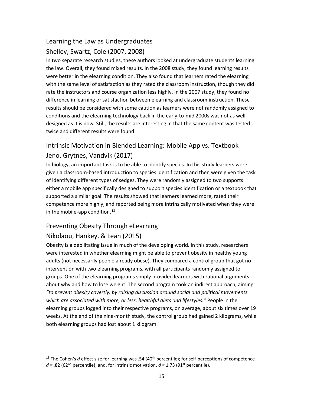# Learning the Law as Undergraduates Shelley, Swartz, Cole (2007, 2008)

In two separate research studies, these authors looked at undergraduate students learning the law. Overall, they found mixed results. In the 2008 study, they found learning results were better in the elearning condition. They also found that learners rated the elearning with the same level of satisfaction as they rated the classroom instruction, though they did rate the instructors and course organization less highly. In the 2007 study, they found no difference in learning or satisfaction between elearning and classroom instruction. These results should be considered with some caution as learners were not randomly assigned to conditions and the elearning technology back in the early-to-mid 2000s was not as well designed as it is now. Still, the results are interesting in that the same content was tested twice and different results were found.

# Intrinsic Motivation in Blended Learning: Mobile App vs. Textbook Jeno, Grytnes, Vandvik (2017)

In biology, an important task is to be able to identify species. In this study learners were given a classroom-based introduction to species identification and then were given the task of identifying different types of sedges. They were randomly assigned to two supports: either a mobile app specifically designed to support species identification or a textbook that supported a similar goal. The results showed that learners learned more, rated their competence more highly, and reported being more intrinsically motivated when they were in the mobile-app condition.<sup>[18](#page-14-0)</sup>

### Preventing Obesity Through eLearning

### Nikolaou, Hankey, & Lean (2015)

Obesity is a debilitating issue in much of the developing world. In this study, researchers were interested in whether elearning might be able to prevent obesity in healthy young adults (not necessarily people already obese). They compared a control group that got no intervention with two elearning programs, with all participants randomly assigned to groups. One of the elearning programs simply provided learners with rational arguments about why and how to lose weight. The second program took an indirect approach, aiming *"to prevent obesity covertly, by raising discussion around social and political movements which are associated with more, or less, healthful diets and lifestyles."* People in the elearning groups logged into their respective programs, on average, about six times over 19 weeks. At the end of the nine-month study, the control group had gained 2 kilograms, while both elearning groups had lost about 1 kilogram.

<span id="page-14-0"></span><sup>&</sup>lt;sup>18</sup> The Cohen's *d* effect size for learning was .54 (40<sup>th</sup> percentile); for self-perceptions of competence  $d = .82$  (62<sup>nd</sup> percentile); and, for intrinsic motivation,  $d = 1.73$  (91<sup>st</sup> percentile).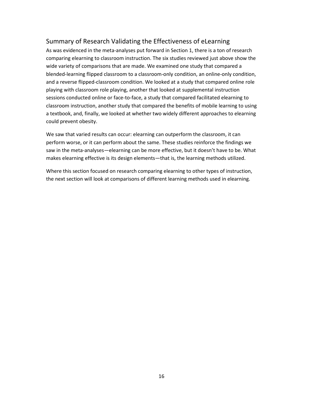### Summary of Research Validating the Effectiveness of eLearning

As was evidenced in the meta-analyses put forward in Section 1, there is a ton of research comparing elearning to classroom instruction. The six studies reviewed just above show the wide variety of comparisons that are made. We examined one study that compared a blended-learning flipped classroom to a classroom-only condition, an online-only condition, and a reverse flipped-classroom condition. We looked at a study that compared online role playing with classroom role playing, another that looked at supplemental instruction sessions conducted online or face-to-face, a study that compared facilitated elearning to classroom instruction, another study that compared the benefits of mobile learning to using a textbook, and, finally, we looked at whether two widely different approaches to elearning could prevent obesity.

We saw that varied results can occur: elearning can outperform the classroom, it can perform worse, or it can perform about the same. These studies reinforce the findings we saw in the meta-analyses—elearning can be more effective, but it doesn't have to be. What makes elearning effective is its design elements—that is, the learning methods utilized.

Where this section focused on research comparing elearning to other types of instruction, the next section will look at comparisons of different learning methods used in elearning.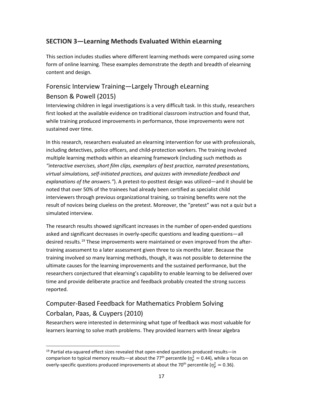### **SECTION 3—Learning Methods Evaluated Within eLearning**

This section includes studies where different learning methods were compared using some form of online learning. These examples demonstrate the depth and breadth of elearning content and design.

# Forensic Interview Training—Largely Through eLearning Benson & Powell (2015)

Interviewing children in legal investigations is a very difficult task. In this study, researchers first looked at the available evidence on traditional classroom instruction and found that, while training produced improvements in performance, those improvements were not sustained over time.

In this research, researchers evaluated an elearning intervention for use with professionals, including detectives, police officers, and child-protection workers. The training involved multiple learning methods within an elearning framework (including such methods as *"interactive exercises, short film clips, exemplars of best practice, narrated presentations, virtual simulations, self-initiated practices, and quizzes with immediate feedback and explanations of the answers."*). A pretest-to-posttest design was utilized—and it should be noted that over 50% of the trainees had already been certified as specialist child interviewers through previous organizational training, so training benefits were not the result of novices being clueless on the pretest. Moreover, the "pretest" was not a quiz but a simulated interview.

The research results showed significant increases in the number of open-ended questions asked and significant decreases in overly-specific questions and leading questions—all desired results.<sup>[19](#page-16-0)</sup> These improvements were maintained or even improved from the aftertraining assessment to a later assessment given three to six months later. Because the training involved so many learning methods, though, it was not possible to determine the ultimate causes for the learning improvements and the sustained performance, but the researchers conjectured that elearning's capability to enable learning to be delivered over time and provide deliberate practice and feedback probably created the strong success reported.

# Computer-Based Feedback for Mathematics Problem Solving Corbalan, Paas, & Cuypers (2010)

Researchers were interested in determining what type of feedback was most valuable for learners learning to solve math problems. They provided learners with linear algebra

<span id="page-16-0"></span> $19$  Partial eta-squared effect sizes revealed that open-ended questions produced results-in comparison to typical memory results—at about the 77<sup>th</sup> percentile ( $\eta_p^2 =$  0.44), while a focus on overly-specific questions produced improvements at about the 70<sup>th</sup> percentile ( $\eta_p^2 =$  0.36).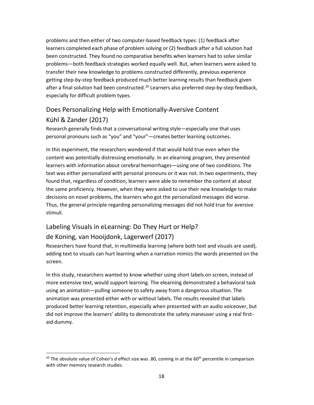problems and then either of two computer-based feedback types: (1) feedback after learners completed each phase of problem solving or (2) feedback after a full solution had been constructed. They found no comparative benefits when learners had to solve similar problems—both feedback strategies worked equally well. But, when learners were asked to transfer their new knowledge to problems constructed differently, previous experience getting step-by-step feedback produced much better learning results than feedback given after a final solution had been constructed.<sup>[20](#page-17-0)</sup> Learners also preferred step-by-step feedback, especially for difficult problem types.

### Does Personalizing Help with Emotionally-Aversive Content Kühl & Zander (2017)

Research generally finds that a conversational writing style—especially one that uses personal pronouns such as "you" and "your"—creates better learning outcomes.

In this experiment, the researchers wondered if that would hold true even when the content was potentially distressing emotionally. In an elearning program, they presented learners with information about cerebral hemorrhages—using one of two conditions. The text was either personalized with personal pronouns or it was not. In two experiments, they found that, regardless of condition, learners were able to remember the content at about the same proficiency. However, when they were asked to use their new knowledge to make decisions on novel problems, the learners who got the personalized messages did worse. Thus, the general principle regarding personalizing messages did not hold true for aversive stimuli.

# Labeling Visuals in eLearning: Do They Hurt or Help? de Koning, van Hooijdonk, Lagerwerf (2017)

Researchers have found that, in multimedia learning (where both text and visuals are used), adding text to visuals can hurt learning when a narration mimics the words presented on the screen.

In this study, researchers wanted to know whether using short labels on screen, instead of more extensive text, would support learning. The elearning demonstrated a behavioral task using an animation—pulling someone to safety away from a dangerous situation. The animation was presented either with or without labels. The results revealed that labels produced better learning retention, especially when presented with an audio voiceover, but did not improve the learners' ability to demonstrate the safety maneuver using a real firstaid dummy.

<span id="page-17-0"></span> <sup>20</sup> The absolute value of Cohen's *d* effect size was .80, coming in at the 60th percentile in comparison with other memory research studies.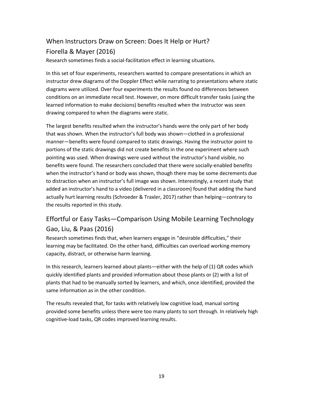# When Instructors Draw on Screen: Does It Help or Hurt? Fiorella & Mayer (2016)

Research sometimes finds a social-facilitation effect in learning situations.

In this set of four experiments, researchers wanted to compare presentations in which an instructor drew diagrams of the Doppler Effect while narrating to presentations where static diagrams were utilized. Over four experiments the results found no differences between conditions on an immediate recall test. However, on more difficult transfer tasks (using the learned information to make decisions) benefits resulted when the instructor was seen drawing compared to when the diagrams were static.

The largest benefits resulted when the instructor's hands were the only part of her body that was shown. When the instructor's full body was shown—clothed in a professional manner—benefits were found compared to static drawings. Having the instructor point to portions of the static drawings did not create benefits in the one experiment where such pointing was used. When drawings were used without the instructor's hand visible, no benefits were found. The researchers concluded that there were socially-enabled benefits when the instructor's hand or body was shown, though there may be some decrements due to distraction when an instructor's full image was shown. Interestingly, a recent study that added an instructor's hand to a video (delivered in a classroom) found that adding the hand actually hurt learning results (Schroeder & Traxler, 2017) rather than helping—contrary to the results reported in this study.

# Effortful or Easy Tasks—Comparison Using Mobile Learning Technology Gao, Liu, & Paas (2016)

Research sometimes finds that, when learners engage in "desirable difficulties," their learning may be facilitated. On the other hand, difficulties can overload working-memory capacity, distract, or otherwise harm learning.

In this research, learners learned about plants—either with the help of (1) QR codes which quickly identified plants and provided information about those plants or (2) with a list of plants that had to be manually sorted by learners, and which, once identified, provided the same information as in the other condition.

The results revealed that, for tasks with relatively low cognitive load, manual sorting provided some benefits unless there were too many plants to sort through. In relatively high cognitive-load tasks, QR codes improved learning results.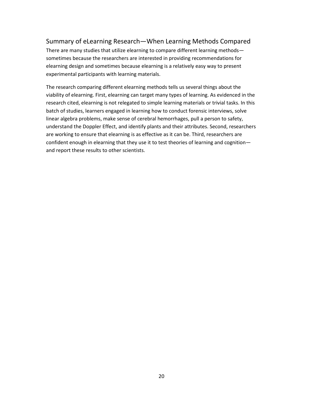### Summary of eLearning Research—When Learning Methods Compared

There are many studies that utilize elearning to compare different learning methods sometimes because the researchers are interested in providing recommendations for elearning design and sometimes because elearning is a relatively easy way to present experimental participants with learning materials.

The research comparing different elearning methods tells us several things about the viability of elearning. First, elearning can target many types of learning. As evidenced in the research cited, elearning is not relegated to simple learning materials or trivial tasks. In this batch of studies, learners engaged in learning how to conduct forensic interviews, solve linear algebra problems, make sense of cerebral hemorrhages, pull a person to safety, understand the Doppler Effect, and identify plants and their attributes. Second, researchers are working to ensure that elearning is as effective as it can be. Third, researchers are confident enough in elearning that they use it to test theories of learning and cognition and report these results to other scientists.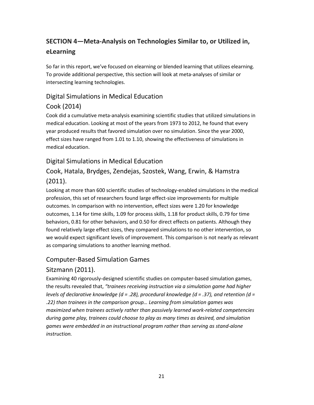# **SECTION 4—Meta-Analysis on Technologies Similar to, or Utilized in, eLearning**

So far in this report, we've focused on elearning or blended learning that utilizes elearning. To provide additional perspective, this section will look at meta-analyses of similar or intersecting learning technologies.

### Digital Simulations in Medical Education

### Cook (2014)

Cook did a cumulative meta-analysis examining scientific studies that utilized simulations in medical education. Looking at most of the years from 1973 to 2012, he found that every year produced results that favored simulation over no simulation. Since the year 2000, effect sizes have ranged from 1.01 to 1.10, showing the effectiveness of simulations in medical education.

### Digital Simulations in Medical Education

# Cook, Hatala, Brydges, Zendejas, Szostek, Wang, Erwin, & Hamstra (2011).

Looking at more than 600 scientific studies of technology-enabled simulations in the medical profession, this set of researchers found large effect-size improvements for multiple outcomes. In comparison with no intervention, effect sizes were 1.20 for knowledge outcomes, 1.14 for time skills, 1.09 for process skills, 1.18 for product skills, 0.79 for time behaviors, 0.81 for other behaviors, and 0.50 for direct effects on patients. Although they found relatively large effect sizes, they compared simulations to no other intervention, so we would expect significant levels of improvement. This comparison is not nearly as relevant as comparing simulations to another learning method.

### Computer-Based Simulation Games

### Sitzmann (2011).

Examining 40 rigorously-designed scientific studies on computer-based simulation games, the results revealed that, *"trainees receiving instruction via a simulation game had higher levels of declarative knowledge (d = .28), procedural knowledge (d = .37), and retention (d = .22) than trainees in the comparison group… Learning from simulation games was maximized when trainees actively rather than passively learned work-related competencies during game play, trainees could choose to play as many times as desired, and simulation games were embedded in an instructional program rather than serving as stand-alone instruction.*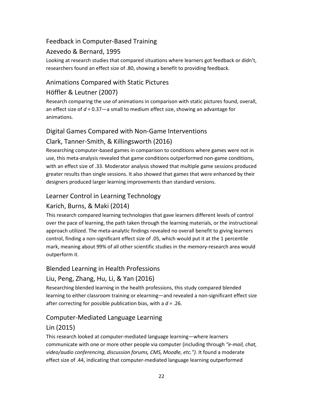### Feedback in Computer-Based Training

### Azevedo & Bernard, 1995

Looking at research studies that compared situations where learners got feedback or didn't, researchers found an effect size of .80, showing a benefit to providing feedback.

### Animations Compared with Static Pictures

### Höffler & Leutner (2007)

Research comparing the use of animations in comparison with static pictures found, overall, an effect size of *d =* 0.37—a small to medium effect size, showing an advantage for animations.

### Digital Games Compared with Non-Game Interventions

# Clark, Tanner-Smith, & Killingsworth (2016)

Researching computer-based games in comparison to conditions where games were not in use, this meta-analysis revealed that game conditions outperformed non-game conditions, with an effect size of .33. Moderator analysis showed that multiple game sessions produced greater results than single sessions. It also showed that games that were enhanced by their designers produced larger learning improvements than standard versions.

### Learner Control in Learning Technology

### Karich, Burns, & Maki (2014)

This research compared learning technologies that gave learners different levels of control over the pace of learning, the path taken through the learning materials, or the instructional approach utilized. The meta-analytic findings revealed no overall benefit to giving learners control, finding a non-significant effect size of .05, which would put it at the 1 percentile mark, meaning about 99% of all other scientific studies in the memory-research area would outperform it.

### Blended Learning in Health Professions

### Liu, Peng, Zhang, Hu, Li, & Yan (2016)

Researching blended learning in the health professions, this study compared blended learning to either classroom training or elearning—and revealed a non-significant effect size after correcting for possible publication bias, with a *d =* .26.

### Computer-Mediated Language Learning

### Lin (2015)

This research looked at computer-mediated language learning—where learners communicate with one or more other people via computer (including through *"e-mail, chat, video/audio conferencing, discussion forums, CMS, Moodle, etc.")*. It found a moderate effect size of .44, indicating that computer-mediated language learning outperformed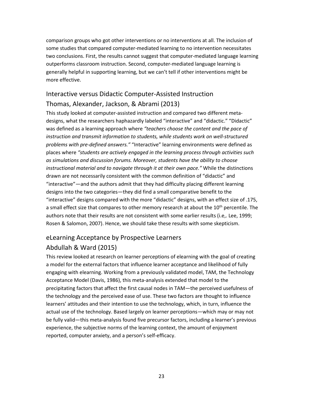comparison groups who got other interventions or no interventions at all. The inclusion of some studies that compared computer-mediated learning to no intervention necessitates two conclusions. First, the results cannot suggest that computer-mediated language learning outperforms classroom instruction. Second, computer-mediated language learning is generally helpful in supporting learning, but we can't tell if other interventions might be more effective.

# Interactive versus Didactic Computer-Assisted Instruction Thomas, Alexander, Jackson, & Abrami (2013)

This study looked at computer-assisted instruction and compared two different metadesigns, what the researchers haphazardly labeled "interactive" and "didactic." "Didactic" was defined as a learning approach where *"teachers choose the content and the pace of instruction and transmit information to students, while students work on well-structured problems with pre-defined answers."* "Interactive" learning environments were defined as places where *"students are actively engaged in the learning process through activities such as simulations and discussion forums. Moreover, students have the ability to choose instructional material and to navigate through it at their own pace."* While the distinctions drawn are not necessarily consistent with the common definition of "didactic" and "interactive"—and the authors admit that they had difficulty placing different learning designs into the two categories—they did find a small comparative benefit to the "interactive" designs compared with the more "didactic" designs, with an effect size of .175, a small effect size that compares to other memory research at about the  $10^{th}$  percentile. The authors note that their results are not consistent with some earlier results (i.e,. Lee, 1999; Rosen & Salomon, 2007). Hence, we should take these results with some skepticism.

### eLearning Acceptance by Prospective Learners

### Abdullah & Ward (2015)

This review looked at research on learner perceptions of elearning with the goal of creating a model for the external factors that influence learner acceptance and likelihood of fully engaging with elearning. Working from a previously validated model, TAM, the Technology Acceptance Model (Davis, 1986), this meta-analysis extended that model to the precipitating factors that affect the first causal nodes in TAM—the perceived usefulness of the technology and the perceived ease of use. These two factors are thought to influence learners' attitudes and their intention to use the technology, which, in turn, influence the actual use of the technology. Based largely on learner perceptions—which may or may not be fully valid—this meta-analysis found five precursor factors, including a learner's previous experience, the subjective norms of the learning context, the amount of enjoyment reported, computer anxiety, and a person's self-efficacy.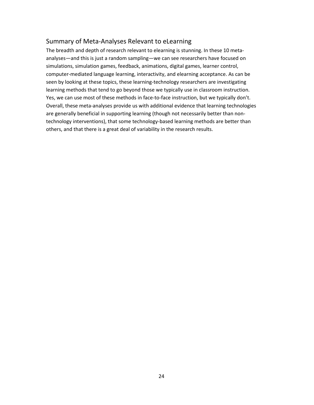### Summary of Meta-Analyses Relevant to eLearning

The breadth and depth of research relevant to elearning is stunning. In these 10 metaanalyses—and this is just a random sampling—we can see researchers have focused on simulations, simulation games, feedback, animations, digital games, learner control, computer-mediated language learning, interactivity, and elearning acceptance. As can be seen by looking at these topics, these learning-technology researchers are investigating learning methods that tend to go beyond those we typically use in classroom instruction. Yes, we can use most of these methods in face-to-face instruction, but we typically don't. Overall, these meta-analyses provide us with additional evidence that learning technologies are generally beneficial in supporting learning (though not necessarily better than nontechnology interventions), that some technology-based learning methods are better than others, and that there is a great deal of variability in the research results.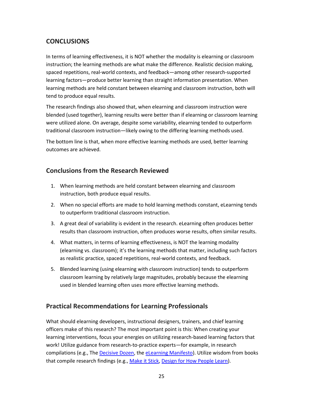### **CONCLUSIONS**

In terms of learning effectiveness, it is NOT whether the modality is elearning or classroom instruction; the learning methods are what make the difference. Realistic decision making, spaced repetitions, real-world contexts, and feedback—among other research-supported learning factors—produce better learning than straight information presentation. When learning methods are held constant between elearning and classroom instruction, both will tend to produce equal results.

The research findings also showed that, when elearning and classroom instruction were blended (used together), learning results were better than if elearning or classroom learning were utilized alone. On average, despite some variability, elearning tended to outperform traditional classroom instruction—likely owing to the differing learning methods used.

The bottom line is that, when more effective learning methods are used, better learning outcomes are achieved.

### **Conclusions from the Research Reviewed**

- 1. When learning methods are held constant between elearning and classroom instruction, both produce equal results.
- 2. When no special efforts are made to hold learning methods constant, eLearning tends to outperform traditional classroom instruction.
- 3. A great deal of variability is evident in the research. eLearning often produces better results than classroom instruction, often produces worse results, often similar results.
- 4. What matters, in terms of learning effectiveness, is NOT the learning modality (elearning vs. classroom); it's the learning methods that matter, including such factors as realistic practice, spaced repetitions, real-world contexts, and feedback.
- 5. Blended learning (using elearning with classroom instruction) tends to outperform classroom learning by relatively large magnitudes, probably because the elearning used in blended learning often uses more effective learning methods.

### **Practical Recommendations for Learning Professionals**

What should elearning developers, instructional designers, trainers, and chief learning officers make of this research? The most important point is this: When creating your learning interventions, focus your energies on utilizing research-based learning factors that work! Utilize guidance from research-to-practice experts—for example, in research compilations (e.g., The [Decisive Dozen,](http://willthalheimer.typepad.com/files/decisive-dozen-research-v1.2-1.pdf) the [eLearning Manifesto\)](http://elearningmanifesto.org/). Utilize wisdom from books that compile research findings (e.g.[, Make it Stick,](http://amzn.to/2hFvM7r) [Design for How People Learn\)](http://amzn.to/2viNXmP).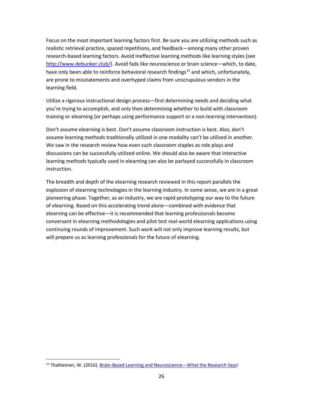Focus on the most important learning factors first. Be sure you are utilizing methods such as realistic retrieval practice, spaced repetitions, and feedback—among many other proven research-based learning factors. Avoid ineffective learning methods like learning styles (see [http://www.debunker.club/\)](http://www.debunker.club/learning-styles-are-not-an-effective-guide-for-learning-design.html). Avoid fads like neuroscience or brain science—which, to date, have only been able to reinforce behavioral research findings<sup>[21](#page-25-0)</sup> and which, unfortunately, are prone to misstatements and overhyped claims from unscrupulous vendors in the learning field.

Utilize a rigorous instructional design process—first determining needs and deciding what you're trying to accomplish, and only then determining whether to build with classroom training or elearning (or perhaps using performance support or a non-learning intervention).

Don't assume elearning is best. Don't assume classroom instruction is best. Also, don't assume learning methods traditionally utilized in one modality can't be utilized in another. We saw in the research review how even such classroom staples as role plays and discussions can be successfully utilized online. We should also be aware that interactive learning methods typically used in elearning can also be parlayed successfully in classroom instruction.

The breadth and depth of the elearning research reviewed in this report parallels the explosion of elearning technologies in the learning industry. In some sense, we are in a great pioneering phase. Together, as an industry, we are rapid-prototyping our way to the future of elearning. Based on this accelerating trend alone—combined with evidence that elearning can be effective—it is recommended that learning professionals become conversant in elearning methodologies and pilot test real-world elearning applications using continuing rounds of improvement. Such work will not only improve learning results, but will prepare us as learning professionals for the future of elearning.

<span id="page-25-0"></span><sup>&</sup>lt;sup>21</sup> Thalheimer, W. (2016)[. Brain-Based Learning and Neuroscience—What the Research Says!](http://www.willatworklearning.com/2016/01/brain-based-learning-and-neuroscience-what-the-research-says.html)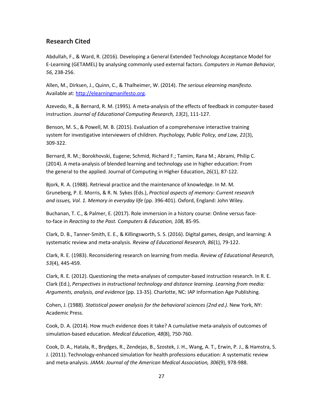### **Research Cited**

Abdullah, F., & Ward, R. (2016). Developing a General Extended Technology Acceptance Model for E-Learning (GETAMEL) by analysing commonly used external factors. *Computers in Human Behavior, 56,* 238-256.

Allen, M., Dirksen, J., Quinn, C., & Thalheimer, W. (2014). *The serious elearning manifesto.* Available at[: http://elearningmanifesto.org.](http://elearningmanifesto.org/)

Azevedo, R., & Bernard, R. M. (1995). A meta-analysis of the effects of feedback in computer-based instruction. *Journal of Educational Computing Research, 13*(2), 111-127.

Benson, M. S., & Powell, M. B. (2015). Evaluation of a comprehensive interactive training system for investigative interviewers of children. *Psychology, Public Policy, and Law, 21*(3), 309-322.

Bernard, R. M.; Borokhovski, Eugene; Schmid, Richard F.; Tamim, Rana M.; Abrami, Philip C. (2014). A meta-analysis of blended learning and technology use in higher education: From the general to the applied. Journal of Computing in Higher Education, 26(1), 87-122.

Bjork, R. A. (1988). Retrieval practice and the maintenance of knowledge. In M. M. Gruneberg, P. E. Morris, & R. N. Sykes (Eds.), *Practical aspects of memory: Current research and issues, Vol. 1. Memory in everyday life* (pp. 396-401). Oxford, England: John Wiley.

Buchanan, T. C., & Palmer, E. (2017). Role immersion in a history course: Online versus faceto-face in *Reacting to the Past. Computers & Education, 108,* 85-95.

Clark, D. B., Tanner-Smith, E. E., & Killingsworth, S. S. (2016). Digital games, design, and learning: A systematic review and meta-analysis. *Review of Educational Research, 86*(1), 79-122.

Clark, R. E. (1983). Reconsidering research on learning from media. *Review of Educational Research, 53*(4), 445-459.

Clark, R. E. (2012). Questioning the meta-analyses of computer-based instruction research. In R. E. Clark (Ed.), *Perspectives in instructional technology and distance learning. Learning from media: Arguments, analysis, and evidence* (pp. 13-35). Charlotte, NC: IAP Information Age Publishing.

Cohen, J. (1988). *Statistical power analysis for the behavioral sciences (2nd ed.).* New York, NY: Academic Press.

Cook, D. A. (2014). How much evidence does it take? A cumulative meta-analysis of outcomes of simulation-based education. *Medical Education, 48*(8), 750-760.

Cook, D. A., Hatala, R., Brydges, R., Zendejas, B., Szostek, J. H., Wang, A. T., Erwin, P. J., & Hamstra, S. J. (2011). Technology-enhanced simulation for health professions education: A systematic review and meta-analysis. *JAMA: Journal of the American Medical Association, 306*(9), 978-988.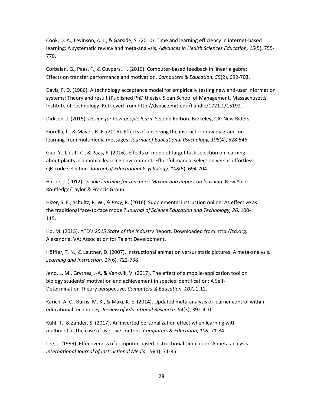Cook, D. A., Levinson, A. J., & Garside, S. (2010). Time and learning efficiency in internet-based learning: A systematic review and meta-analysis. *Advances in Health Sciences Education, 15*(5), 755- 770.

Corbalan, G., Paas, F., & Cuypers, H. (2010). Computer-based feedback in linear algebra: Effects on transfer performance and motivation. *Computers & Education, 55*(2), 692-703.

Davis, F. D. (1986). A technology acceptance model for empirically testing new end-user information systems: Theory and result (Published PhD thesis). Sloan School of Management. Massachusetts Institute of Technology. Retrieved from http://dspace.mit.edu/handle/1721.1/15192.

Dirksen, J. (2015). *Design for how people learn*. Second Edition. Berkeley, CA: New Riders.

Fiorella, L., & Mayer, R. E. (2016). Effects of observing the instructor draw diagrams on learning from multimedia messages. *Journal of Educational Psychology, 108*(4), 528-546.

Gao, Y., Liu, T.-C., & Paas, F. (2016). Effects of mode of target task selection on learning about plants in a mobile learning environment: Effortful manual selection versus effortless QR-code selection. *Journal of Educational Psychology, 108*(5), 694-704.

Hattie, J. (2012). *Visible learning for teachers: Maximizing impact on learning*. New York: Routledge/Taylor & Francis Group.

Hizer, S. E., Schultz, P. W., *& Bray*, R. (2016). Supplemental instruction online: As effective as the traditional face-to-face model? *Journal of Science Education and Technology, 26,* 100- 115.

Ho, M. (2015). ATD's *2015 State of the Industry* Report. Downloaded from http://td.org. Alexandria, VA: Association for Talent Development.

Höffler, T. N., & Leutner, D. (2007). Instructional animation versus static pictures: A meta-analysis. *Learning and Instruction, 17*(6), 722-738.

Jeno, L. M., Grytnes, J-A, & Vankvik, V. (2017). The effect of a mobile-application tool on biology students' motivation and achievement in species identification: A Self-Determination Theory perspective. *Computers & Education, 107*, 1-12.

Karich, A. C., Burns, M. K., & Maki, K. E. (2014). Updated meta-analysis of learner control within educational technology. *Review of Educational Research, 84*(3), 392-410.

Kühl, T., & Zander, S. (2017). An inverted personalization effect when learning with multimedia: The case of aversive content. *Computers & Education, 108*, 71-84.

Lee, J. (1999). Effectiveness of computer-based instructional simulation: A meta analysis. *International Journal of Instructional Media, 26*(1), 71-85.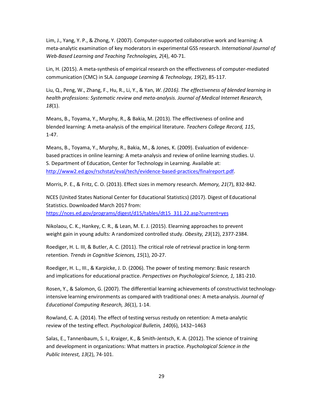Lim, J., Yang, Y. P., & Zhong, Y. (2007). Computer-supported collaborative work and learning: A meta-analytic examination of key moderators in experimental GSS research. *International Journal of Web-Based Learning and Teaching Technologies, 2*(4), 40-71.

Lin, H. (2015). A meta-synthesis of empirical research on the effectiveness of computer-mediated communication (CMC) in SLA. *Language Learning & Technology, 19*(2), 85-117.

Liu, Q., Peng, W., Zhang, F., Hu, R., Li, Y., & Yan, *W. (2016). The effectiveness of blended learning in health professions: Systematic review and meta-analysis. Journal of Medical Internet Research, 18*(1).

Means, B., Toyama, Y., Murphy, R., & Bakia, M. (2013). The effectiveness of online and blended learning: A meta-analysis of the empirical literature. *Teachers College Record, 115*, 1-47.

Means, B., Toyama, Y., Murphy, R., Bakia, M., & Jones, K. (2009). Evaluation of evidencebased practices in online learning: A meta-analysis and review of online learning studies. U. S. Department of Education, Center for Technology in Learning. Available at: [http://www2.ed.gov/rschstat/eval/tech/evidence-based-practices/finalreport.pdf.](http://www2.ed.gov/rschstat/eval/tech/evidence-based-practices/finalreport.pdf)

Morris, P. E., & Fritz, C. O. (2013). Effect sizes in memory research. *Memory, 21*(7), 832-842.

NCES (United States National Center for Educational Statistics) (2017). Digest of Educational Statistics. Downloaded March 2017 from: [https://nces.ed.gov/programs/digest/d15/tables/dt15\\_311.22.asp?current=yes](https://nces.ed.gov/programs/digest/d15/tables/dt15_311.22.asp?current=yes)

Nikolaou, C. K., Hankey, C. R., & Lean, M. E. J. (2015). Elearning approaches to prevent weight gain in young adults: A randomized controlled study. *Obesity, 23*(12), 2377-2384.

Roediger, H. L. III, & Butler, A. C. (2011). The critical role of retrieval practice in long-term retention. *Trends in Cognitive Sciences, 15*(1), 20-27.

Roediger, H. L., III., & Karpicke, J. D. (2006). The power of testing memory: Basic research and implications for educational practice. *Perspectives on Psychological Science, 1,* 181-210.

Rosen, Y., & Salomon, G. (2007). The differential learning achievements of constructivist technologyintensive learning environments as compared with traditional ones: A meta-analysis. *Journal of Educational Computing Research, 36*(1), 1-14.

Rowland, C. A. (2014). The effect of testing versus restudy on retention: A meta-analytic review of the testing effect. *Psychological Bulletin, 140*(6), 1432–1463

Salas, E., Tannenbaum, S. I., Kraiger, K., & Smith-Jentsch, K. A. (2012). The science of training and development in organizations: What matters in practice. *Psychological Science in the Public Interest, 13*(2), 74-101.